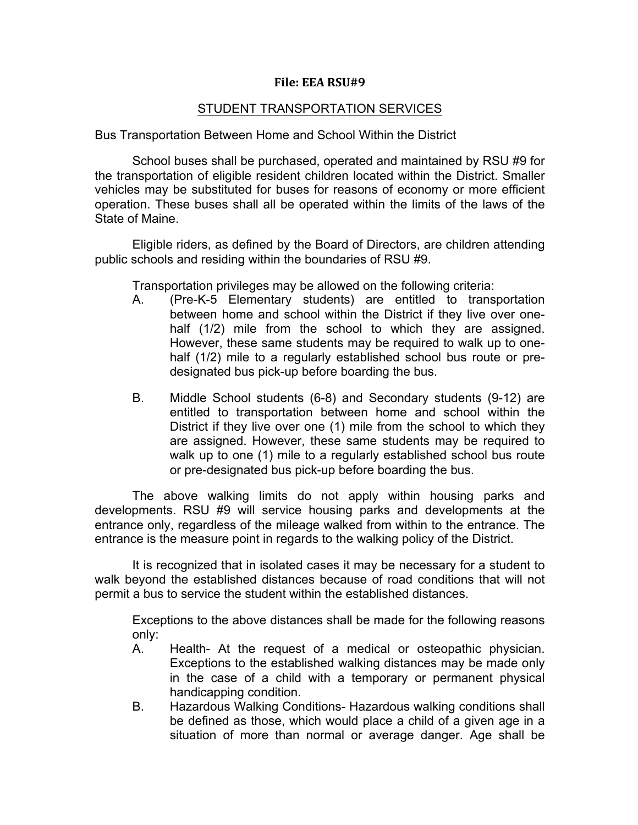## **File: EEA RSU#9**

# STUDENT TRANSPORTATION SERVICES

Bus Transportation Between Home and School Within the District

School buses shall be purchased, operated and maintained by RSU #9 for the transportation of eligible resident children located within the District. Smaller vehicles may be substituted for buses for reasons of economy or more efficient operation. These buses shall all be operated within the limits of the laws of the State of Maine.

Eligible riders, as defined by the Board of Directors, are children attending public schools and residing within the boundaries of RSU #9.

Transportation privileges may be allowed on the following criteria:

- A. (Pre-K-5 Elementary students) are entitled to transportation between home and school within the District if they live over onehalf (1/2) mile from the school to which they are assigned. However, these same students may be required to walk up to onehalf (1/2) mile to a regularly established school bus route or predesignated bus pick-up before boarding the bus.
- B. Middle School students (6-8) and Secondary students (9-12) are entitled to transportation between home and school within the District if they live over one (1) mile from the school to which they are assigned. However, these same students may be required to walk up to one (1) mile to a regularly established school bus route or pre-designated bus pick-up before boarding the bus.

The above walking limits do not apply within housing parks and developments. RSU #9 will service housing parks and developments at the entrance only, regardless of the mileage walked from within to the entrance. The entrance is the measure point in regards to the walking policy of the District.

It is recognized that in isolated cases it may be necessary for a student to walk beyond the established distances because of road conditions that will not permit a bus to service the student within the established distances.

Exceptions to the above distances shall be made for the following reasons only:

- A. Health- At the request of a medical or osteopathic physician. Exceptions to the established walking distances may be made only in the case of a child with a temporary or permanent physical handicapping condition.
- B. Hazardous Walking Conditions- Hazardous walking conditions shall be defined as those, which would place a child of a given age in a situation of more than normal or average danger. Age shall be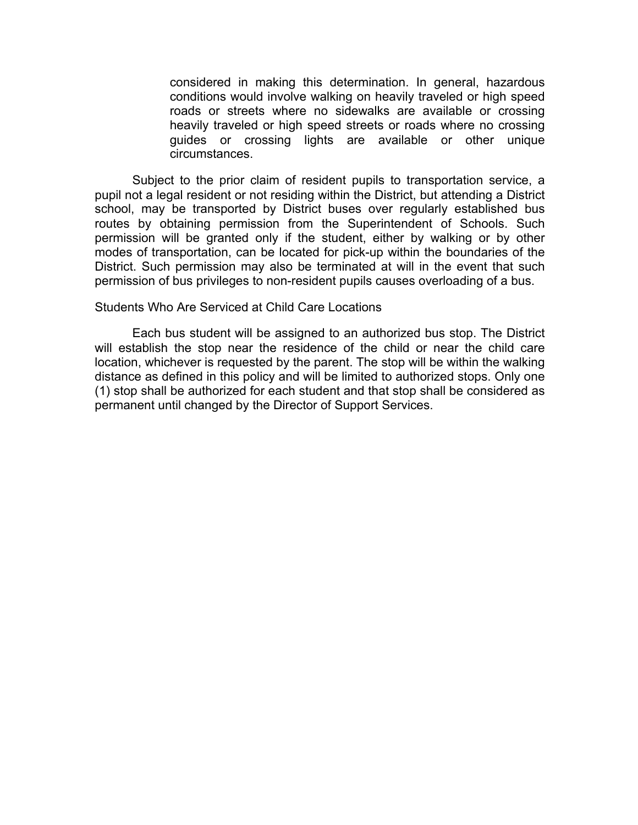considered in making this determination. In general, hazardous conditions would involve walking on heavily traveled or high speed roads or streets where no sidewalks are available or crossing heavily traveled or high speed streets or roads where no crossing guides or crossing lights are available or other unique circumstances.

Subject to the prior claim of resident pupils to transportation service, a pupil not a legal resident or not residing within the District, but attending a District school, may be transported by District buses over regularly established bus routes by obtaining permission from the Superintendent of Schools. Such permission will be granted only if the student, either by walking or by other modes of transportation, can be located for pick-up within the boundaries of the District. Such permission may also be terminated at will in the event that such permission of bus privileges to non-resident pupils causes overloading of a bus.

## Students Who Are Serviced at Child Care Locations

Each bus student will be assigned to an authorized bus stop. The District will establish the stop near the residence of the child or near the child care location, whichever is requested by the parent. The stop will be within the walking distance as defined in this policy and will be limited to authorized stops. Only one (1) stop shall be authorized for each student and that stop shall be considered as permanent until changed by the Director of Support Services.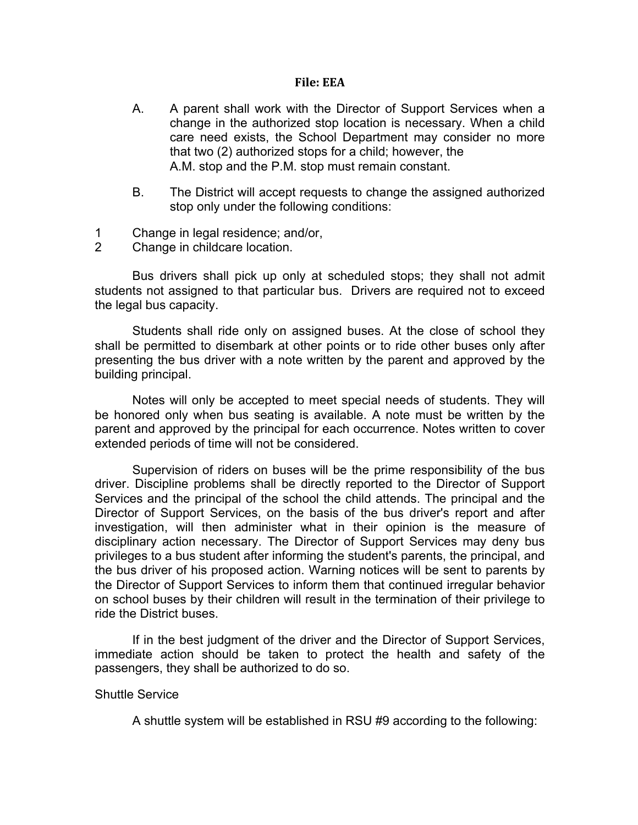### **File: EEA**

- A. A parent shall work with the Director of Support Services when a change in the authorized stop location is necessary. When a child care need exists, the School Department may consider no more that two (2) authorized stops for a child; however, the A.M. stop and the P.M. stop must remain constant.
- B. The District will accept requests to change the assigned authorized stop only under the following conditions:
- 1 Change in legal residence; and/or,
- 2 Change in childcare location.

Bus drivers shall pick up only at scheduled stops; they shall not admit students not assigned to that particular bus. Drivers are required not to exceed the legal bus capacity.

Students shall ride only on assigned buses. At the close of school they shall be permitted to disembark at other points or to ride other buses only after presenting the bus driver with a note written by the parent and approved by the building principal.

Notes will only be accepted to meet special needs of students. They will be honored only when bus seating is available. A note must be written by the parent and approved by the principal for each occurrence. Notes written to cover extended periods of time will not be considered.

Supervision of riders on buses will be the prime responsibility of the bus driver. Discipline problems shall be directly reported to the Director of Support Services and the principal of the school the child attends. The principal and the Director of Support Services, on the basis of the bus driver's report and after investigation, will then administer what in their opinion is the measure of disciplinary action necessary. The Director of Support Services may deny bus privileges to a bus student after informing the student's parents, the principal, and the bus driver of his proposed action. Warning notices will be sent to parents by the Director of Support Services to inform them that continued irregular behavior on school buses by their children will result in the termination of their privilege to ride the District buses.

If in the best judgment of the driver and the Director of Support Services, immediate action should be taken to protect the health and safety of the passengers, they shall be authorized to do so.

### Shuttle Service

A shuttle system will be established in RSU #9 according to the following: